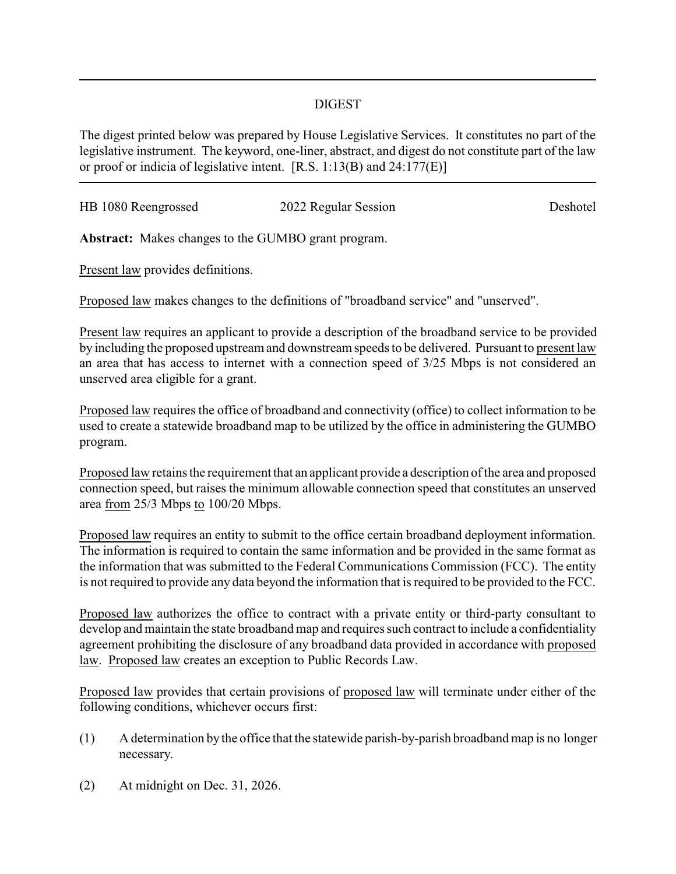## DIGEST

The digest printed below was prepared by House Legislative Services. It constitutes no part of the legislative instrument. The keyword, one-liner, abstract, and digest do not constitute part of the law or proof or indicia of legislative intent. [R.S. 1:13(B) and 24:177(E)]

| HB 1080 Reengrossed | 2022 Regular Session | Deshotel |
|---------------------|----------------------|----------|
|                     |                      |          |
|                     |                      |          |

**Abstract:** Makes changes to the GUMBO grant program.

Present law provides definitions.

Proposed law makes changes to the definitions of "broadband service" and "unserved".

Present law requires an applicant to provide a description of the broadband service to be provided by including the proposed upstream and downstream speeds to be delivered. Pursuant to present law an area that has access to internet with a connection speed of 3/25 Mbps is not considered an unserved area eligible for a grant.

Proposed law requires the office of broadband and connectivity (office) to collect information to be used to create a statewide broadband map to be utilized by the office in administering the GUMBO program.

Proposed law retains the requirement that an applicant provide a description of the area and proposed connection speed, but raises the minimum allowable connection speed that constitutes an unserved area from 25/3 Mbps to 100/20 Mbps.

Proposed law requires an entity to submit to the office certain broadband deployment information. The information is required to contain the same information and be provided in the same format as the information that was submitted to the Federal Communications Commission (FCC). The entity is not required to provide any data beyond the information that is required to be provided to the FCC.

Proposed law authorizes the office to contract with a private entity or third-party consultant to develop and maintain the state broadband map and requires such contract to include a confidentiality agreement prohibiting the disclosure of any broadband data provided in accordance with proposed law. Proposed law creates an exception to Public Records Law.

Proposed law provides that certain provisions of proposed law will terminate under either of the following conditions, whichever occurs first:

- (1) A determination by the office that the statewide parish-by-parish broadband map is no longer necessary.
- (2) At midnight on Dec. 31, 2026.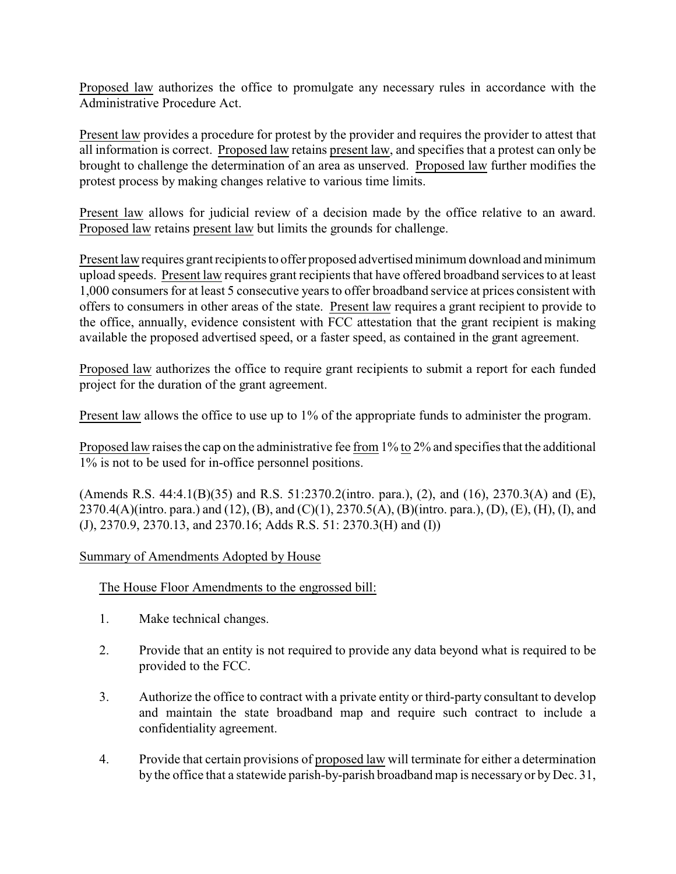Proposed law authorizes the office to promulgate any necessary rules in accordance with the Administrative Procedure Act.

Present law provides a procedure for protest by the provider and requires the provider to attest that all information is correct. Proposed law retains present law, and specifies that a protest can only be brought to challenge the determination of an area as unserved. Proposed law further modifies the protest process by making changes relative to various time limits.

Present law allows for judicial review of a decision made by the office relative to an award. Proposed law retains present law but limits the grounds for challenge.

Present law requires grant recipients to offer proposed advertised minimum download and minimum upload speeds. Present law requires grant recipients that have offered broadband services to at least 1,000 consumers for at least 5 consecutive years to offer broadband service at prices consistent with offers to consumers in other areas of the state. Present law requires a grant recipient to provide to the office, annually, evidence consistent with FCC attestation that the grant recipient is making available the proposed advertised speed, or a faster speed, as contained in the grant agreement.

Proposed law authorizes the office to require grant recipients to submit a report for each funded project for the duration of the grant agreement.

Present law allows the office to use up to 1% of the appropriate funds to administer the program.

Proposed law raises the cap on the administrative fee from 1% to 2% and specifies that the additional 1% is not to be used for in-office personnel positions.

(Amends R.S. 44:4.1(B)(35) and R.S. 51:2370.2(intro. para.), (2), and (16), 2370.3(A) and (E), 2370.4(A)(intro. para.) and (12), (B), and (C)(1), 2370.5(A), (B)(intro. para.), (D), (E), (H), (I), and (J), 2370.9, 2370.13, and 2370.16; Adds R.S. 51: 2370.3(H) and (I))

## Summary of Amendments Adopted by House

The House Floor Amendments to the engrossed bill:

- 1. Make technical changes.
- 2. Provide that an entity is not required to provide any data beyond what is required to be provided to the FCC.
- 3. Authorize the office to contract with a private entity or third-party consultant to develop and maintain the state broadband map and require such contract to include a confidentiality agreement.
- 4. Provide that certain provisions of proposed law will terminate for either a determination by the office that a statewide parish-by-parish broadband map is necessaryor byDec. 31,